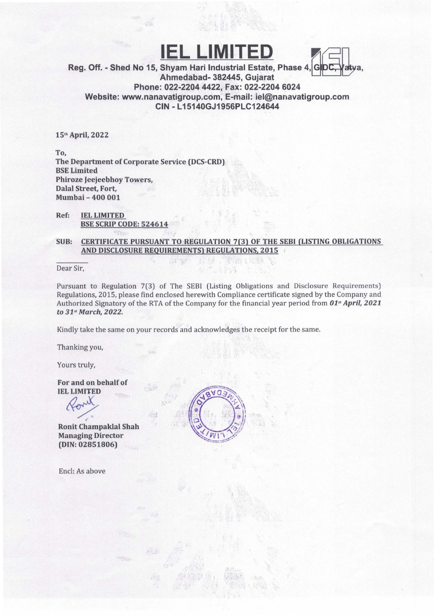## **IEL LIMITI**



Reg. Off. - Shed No 15, Shyam Hari Industrial Estate, Phase 4, Ahmedabad- 382445, Gujarat Phone: 022-22044422, Fax: 022-2204 6024 Website: www.nanavatigroup.com. E-mail: iel@nanavatigroup.com CIN - L 15140GJ1956PLC124644

15th April, 2022

To, The Department of Corporate Service (DCS-CRD) BSE Limited Phiroze Jeejeebhoy Towers, Dalal Street, Fort, Mumbai - 400 001

Ref: IEL LIMITED BSE SCRIP CODE: 524614

SUB: CERTIFICATE PURSUANT TO REGULATION 7(3) OF THE SEBI (LISTING OBLIGATIONS AND DISCLOSURE REQUIREMENTS) REGULATIONS, 2015

Dear Sir,

Pursuant to Regulation 7(3) of The SEBI (Listing Obligations and Disclosure Requirements) Regulations, 2015, please find enclosed herewith Compliance certificate signed by the Company and Authorized Signatory of the RTA of the Company for the financial year period from *01" April, 2021*  to *31st March, 2022.* 

Kindly take the same on your records and acknowledges the receipt for the same.

 $\mathcal{N}$ 

 $\mathcal{P}_{\mathcal{A}}$ **COL** 

Thanking you,

Yours truly,

For and on behalf of IEL LIMITED

~

form

Ronit Champaklal Shah Managing Director (DIN: 02851806)

Encl: As above